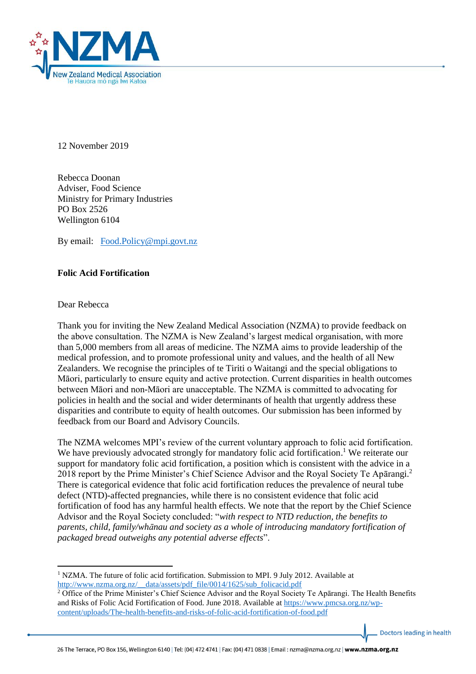

12 November 2019

Rebecca Doonan Adviser, Food Science Ministry for Primary Industries PO Box 2526 Wellington 6104

By email: [Food.Policy@mpi.govt.nz](mailto:Food.Policy@mpi.govt.nz)

## **Folic Acid Fortification**

Dear Rebecca

1

Thank you for inviting the New Zealand Medical Association (NZMA) to provide feedback on the above consultation. The NZMA is New Zealand's largest medical organisation, with more than 5,000 members from all areas of medicine. The NZMA aims to provide leadership of the medical profession, and to promote professional unity and values, and the health of all New Zealanders. We recognise the principles of te Tiriti o Waitangi and the special obligations to Māori, particularly to ensure equity and active protection. Current disparities in health outcomes between Māori and non-Māori are unacceptable. The NZMA is committed to advocating for policies in health and the social and wider determinants of health that urgently address these disparities and contribute to equity of health outcomes. Our submission has been informed by feedback from our Board and Advisory Councils.

The NZMA welcomes MPI's review of the current voluntary approach to folic acid fortification. We have previously advocated strongly for mandatory folic acid fortification.<sup>1</sup> We reiterate our support for mandatory folic acid fortification, a position which is consistent with the advice in a 2018 report by the Prime Minister's Chief Science Advisor and the Royal Society Te Apārangi.<sup>2</sup> There is categorical evidence that folic acid fortification reduces the prevalence of neural tube defect (NTD)-affected pregnancies, while there is no consistent evidence that folic acid fortification of food has any harmful health effects. We note that the report by the Chief Science Advisor and the Royal Society concluded: "*with respect to NTD reduction, the benefits to parents, child, family/whānau and society as a whole of introducing mandatory fortification of packaged bread outweighs any potential adverse effects*".

Doctors leading in health

 $1$  NZMA. The future of folic acid fortification. Submission to MPI. 9 July 2012. Available at [http://www.nzma.org.nz/\\_\\_data/assets/pdf\\_file/0014/1625/sub\\_folicacid.pdf](http://www.nzma.org.nz/__data/assets/pdf_file/0014/1625/sub_folicacid.pdf)

<sup>2</sup> Office of the Prime Minister's Chief Science Advisor and the Royal Society Te Apārangi. The Health Benefits and Risks of Folic Acid Fortification of Food. June 2018. Available at [https://www.pmcsa.org.nz/wp](https://www.pmcsa.org.nz/wp-content/uploads/The-health-benefits-and-risks-of-folic-acid-fortification-of-food.pdf)[content/uploads/The-health-benefits-and-risks-of-folic-acid-fortification-of-food.pdf](https://www.pmcsa.org.nz/wp-content/uploads/The-health-benefits-and-risks-of-folic-acid-fortification-of-food.pdf)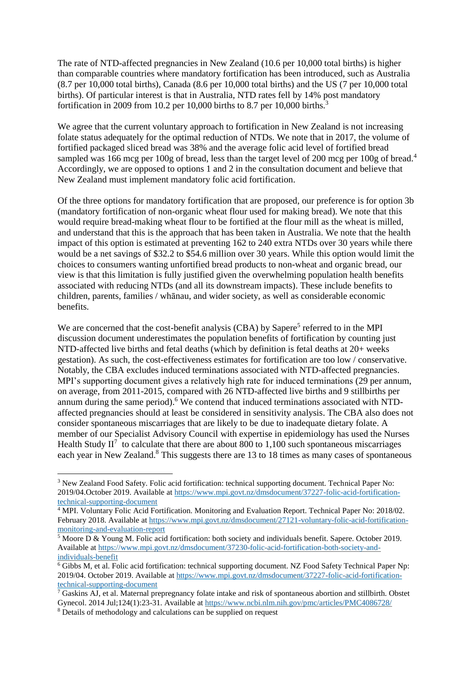The rate of NTD-affected pregnancies in New Zealand (10.6 per 10,000 total births) is higher than comparable countries where mandatory fortification has been introduced, such as Australia (8.7 per 10,000 total births), Canada (8.6 per 10,000 total births) and the US (7 per 10,000 total births). Of particular interest is that in Australia, NTD rates fell by 14% post mandatory fortification in 2009 from 10.2 per 10,000 births to 8.7 per 10,000 births.<sup>3</sup>

We agree that the current voluntary approach to fortification in New Zealand is not increasing folate status adequately for the optimal reduction of NTDs. We note that in 2017, the volume of fortified packaged sliced bread was 38% and the average folic acid level of fortified bread sampled was 166 mcg per 100g of bread, less than the target level of 200 mcg per 100g of bread.<sup>4</sup> Accordingly, we are opposed to options 1 and 2 in the consultation document and believe that New Zealand must implement mandatory folic acid fortification.

Of the three options for mandatory fortification that are proposed, our preference is for option 3b (mandatory fortification of non-organic wheat flour used for making bread). We note that this would require bread-making wheat flour to be fortified at the flour mill as the wheat is milled, and understand that this is the approach that has been taken in Australia. We note that the health impact of this option is estimated at preventing 162 to 240 extra NTDs over 30 years while there would be a net savings of \$32.2 to \$54.6 million over 30 years. While this option would limit the choices to consumers wanting unfortified bread products to non-wheat and organic bread, our view is that this limitation is fully justified given the overwhelming population health benefits associated with reducing NTDs (and all its downstream impacts). These include benefits to children, parents, families / whānau, and wider society, as well as considerable economic benefits.

We are concerned that the cost-benefit analysis  $(CBA)$  by Sapere<sup>5</sup> referred to in the MPI discussion document underestimates the population benefits of fortification by counting just NTD-affected live births and fetal deaths (which by definition is fetal deaths at 20+ weeks gestation). As such, the cost-effectiveness estimates for fortification are too low / conservative. Notably, the CBA excludes induced terminations associated with NTD-affected pregnancies. MPI's supporting document gives a relatively high rate for induced terminations (29 per annum, on average, from 2011-2015, compared with 26 NTD-affected live births and 9 stillbirths per annum during the same period).<sup>6</sup> We contend that induced terminations associated with NTDaffected pregnancies should at least be considered in sensitivity analysis. The CBA also does not consider spontaneous miscarriages that are likely to be due to inadequate dietary folate. A member of our Specialist Advisory Council with expertise in epidemiology has used the Nurses Health Study  $II^7$  to calculate that there are about 800 to 1,100 such spontaneous miscarriages each year in New Zealand.<sup>8</sup> This suggests there are 13 to 18 times as many cases of spontaneous

1

<sup>3</sup> New Zealand Food Safety. Folic acid fortification: technical supporting document. Technical Paper No: 2019/04.October 2019. Available at [https://www.mpi.govt.nz/dmsdocument/37227-folic-acid-fortification](https://www.mpi.govt.nz/dmsdocument/37227-folic-acid-fortification-technical-supporting-document)[technical-supporting-document](https://www.mpi.govt.nz/dmsdocument/37227-folic-acid-fortification-technical-supporting-document)

<sup>4</sup> MPI. Voluntary Folic Acid Fortification. Monitoring and Evaluation Report. Technical Paper No: 2018/02. February 2018. Available a[t https://www.mpi.govt.nz/dmsdocument/27121-voluntary-folic-acid-fortification](https://www.mpi.govt.nz/dmsdocument/27121-voluntary-folic-acid-fortification-monitoring-and-evaluation-report)[monitoring-and-evaluation-report](https://www.mpi.govt.nz/dmsdocument/27121-voluntary-folic-acid-fortification-monitoring-and-evaluation-report) 

 $\frac{5 \text{ Moore D} \& \text{Young M. Folic acid fortification: both society and individuals benefit. Sapere. October 2019.}$ Available at [https://www.mpi.govt.nz/dmsdocument/37230-folic-acid-fortification-both-society-and](https://www.mpi.govt.nz/dmsdocument/37230-folic-acid-fortification-both-society-and-individuals-benefit)[individuals-benefit](https://www.mpi.govt.nz/dmsdocument/37230-folic-acid-fortification-both-society-and-individuals-benefit)

<sup>6</sup> Gibbs M, et al. Folic acid fortification: technical supporting document. NZ Food Safety Technical Paper Np: 2019/04. October 2019. Available a[t https://www.mpi.govt.nz/dmsdocument/37227-folic-acid-fortification](https://www.mpi.govt.nz/dmsdocument/37227-folic-acid-fortification-technical-supporting-document)[technical-supporting-document](https://www.mpi.govt.nz/dmsdocument/37227-folic-acid-fortification-technical-supporting-document)

 $\frac{7}{7}$  Gaskins AJ, et al. Maternal prepregnancy folate intake and risk of spontaneous abortion and stillbirth. Obstet Gynecol. 2014 Jul;124(1):23-31. Available a[t https://www.ncbi.nlm.nih.gov/pmc/articles/PMC4086728/](https://www.ncbi.nlm.nih.gov/pmc/articles/PMC4086728/)

<sup>8</sup> Details of methodology and calculations can be supplied on request